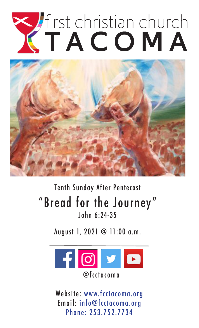# Tirst christian church



## Tenth Sunday After Pentecost "Bread for the Journey" John 6:24-35

August 1, 2021 @ 11:00 a.m.



Website: www.fcctacoma.org Email: info@fcctacoma.org Phone: 253.752.7734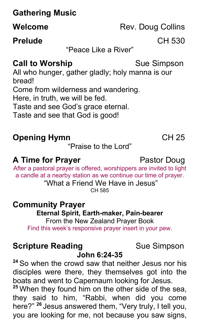## **Gathering Music**

#### **Prelude** CH 530

"Peace Like a River"

#### **Call to Worship**  Sue Simpson

All who hunger, gather gladly; holy manna is our bread! Come from wilderness and wandering. Here, in truth, we will be fed. Taste and see God's grace eternal. Taste and see that God is good!

## **Opening Hymn** CH 25

"Praise to the Lord"

#### **A Time for Prayer** Pastor Doug

After a pastoral prayer is offered, worshippers are invited to light a candle at a nearby station as we continue our time of prayer. "What a Friend We Have in Jesus"

CH 585

# **Community Prayer Eternal Spirit, Earth-maker, Pain-bearer** From the New Zealand Prayer Book

Find this week's responsive prayer insert in your pew.

#### **Scripture Reading**  Sue Simpson

#### **John 6:24-35**

**<sup>24</sup>** So when the crowd saw that neither Jesus nor his disciples were there, they themselves got into the boats and went to Capernaum looking for Jesus.

**<sup>25</sup>** When they found him on the other side of the sea, they said to him, "Rabbi, when did you come here?" **<sup>26</sup>** Jesus answered them, "Very truly, I tell you, you are looking for me, not because you saw signs,

**Welcome** Rev. Doug Collins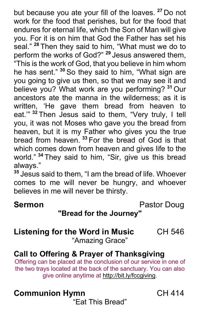but because you ate your fill of the loaves. **<sup>27</sup>** Do not work for the food that perishes, but for the food that endures for eternal life, which the Son of Man will give you. For it is on him that God the Father has set his seal." **<sup>28</sup>** Then they said to him, "What must we do to perform the works of God?" **<sup>29</sup>** Jesus answered them, "This is the work of God, that you believe in him whom he has sent." **<sup>30</sup>** So they said to him, "What sign are you going to give us then, so that we may see it and believe you? What work are you performing? **<sup>31</sup>** Our ancestors ate the manna in the wilderness; as it is written, 'He gave them bread from heaven to eat.'" **<sup>32</sup>** Then Jesus said to them, "Very truly, I tell you, it was not Moses who gave you the bread from heaven, but it is my Father who gives you the true bread from heaven. **<sup>33</sup>** For the bread of God is that which comes down from heaven and gives life to the world." **<sup>34</sup>** They said to him, "Sir, give us this bread always."

**<sup>35</sup>** Jesus said to them, "I am the bread of life. Whoever comes to me will never be hungry, and whoever believes in me will never be thirsty.

**Sermon Pastor Doug** 

#### **"Bread for the Journey"**

## **Listening for the Word in Music** CH 546

"Amazing Grace"

#### **Call to Offering & Prayer of Thanksgiving**

Offering can be placed at the conclusion of our service in one of the two trays located at the back of the sanctuary. You can also give online anytime at http://bit.ly/fccgiving.

### **Communion Hymn** CH 414

"Eat This Bread"